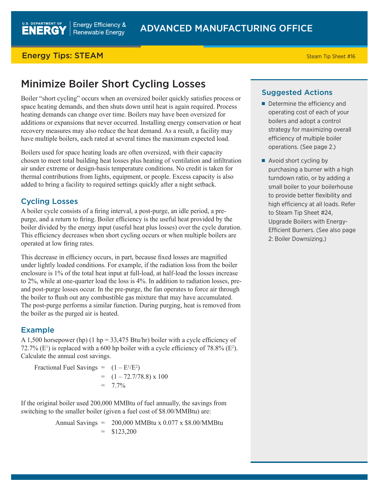## **Energy Tips: STEAM** Steam Tip Sheet #16

# Minimize Boiler Short Cycling Losses

Boiler "short cycling" occurs when an oversized boiler quickly satisfies process or space heating demands, and then shuts down until heat is again required. Process heating demands can change over time. Boilers may have been oversized for additions or expansions that never occurred. Installing energy conservation or heat recovery measures may also reduce the heat demand. As a result, a facility may have multiple boilers, each rated at several times the maximum expected load.

Boilers used for space heating loads are often oversized, with their capacity chosen to meet total building heat losses plus heating of ventilation and infiltration air under extreme or design-basis temperature conditions. No credit is taken for thermal contributions from lights, equipment, or people. Excess capacity is also added to bring a facility to required settings quickly after a night setback.

# Cycling Losses

A boiler cycle consists of a firing interval, a post-purge, an idle period, a prepurge, and a return to firing. Boiler efficiency is the useful heat provided by the boiler divided by the energy input (useful heat plus losses) over the cycle duration. This efficiency decreases when short cycling occurs or when multiple boilers are operated at low firing rates.

This decrease in efficiency occurs, in part, because fixed losses are magnified under lightly loaded conditions. For example, if the radiation loss from the boiler enclosure is 1% of the total heat input at full-load, at half-load the losses increase to 2%, while at one-quarter load the loss is 4%. In addition to radiation losses, preand post-purge losses occur. In the pre-purge, the fan operates to force air through the boiler to flush out any combustible gas mixture that may have accumulated. The post-purge performs a similar function. During purging, heat is removed from the boiler as the purged air is heated.

# Example

A 1,500 horsepower (hp) (1 hp = 33,475 Btu/hr) boiler with a cycle efficiency of 72.7% ( $E^1$ ) is replaced with a 600 hp boiler with a cycle efficiency of 78.8% ( $E^2$ ). Calculate the annual cost savings.

Fractional Fuel Savings =  $(1 - E^{1}/E^{2})$  $=$   $(1 - 72.7/78.8) \times 100$  $= 7.7\%$ 

If the original boiler used 200,000 MMBtu of fuel annually, the savings from switching to the smaller boiler (given a fuel cost of \$8.00/MMBtu) are:

> Annual Savings = 200,000 MMBtu x 0.077 x \$8.00/MMBtu  $=$  \$123,200

### Suggested Actions

- Determine the efficiency and operating cost of each of your boilers and adopt a control strategy for maximizing overall efficiency of multiple boiler operations. (See page 2.)
- Avoid short cycling by purchasing a burner with a high turndown ratio, or by adding a small boiler to your boilerhouse to provide better flexibility and high efficiency at all loads. Refer to Steam Tip Sheet #24, Upgrade Boilers with Energy-Efficient Burners. (See also page 2: Boiler Downsizing.)